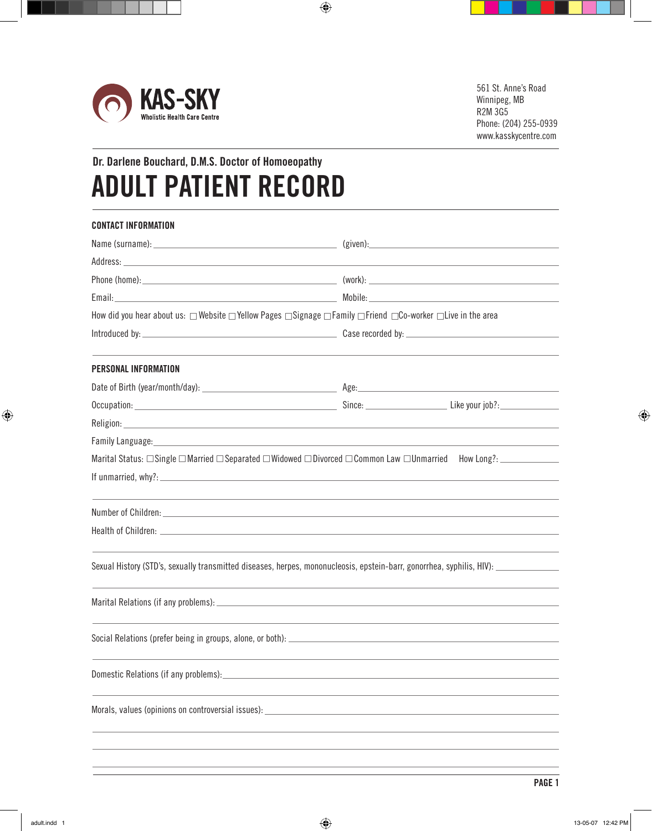

## **Dr. Darlene Bouchard, D.M.S. Doctor of Homoeopathy ADULT PATIENT RECORD**

| <b>CONTACT INFORMATION</b>                                                                                                                                                                                                    |  |
|-------------------------------------------------------------------------------------------------------------------------------------------------------------------------------------------------------------------------------|--|
|                                                                                                                                                                                                                               |  |
|                                                                                                                                                                                                                               |  |
|                                                                                                                                                                                                                               |  |
|                                                                                                                                                                                                                               |  |
| How did you hear about us: □ Website □ Yellow Pages □ Signage □ Family □ Friend □ Co-worker □ Live in the area                                                                                                                |  |
|                                                                                                                                                                                                                               |  |
| PERSONAL INFORMATION                                                                                                                                                                                                          |  |
|                                                                                                                                                                                                                               |  |
|                                                                                                                                                                                                                               |  |
| Religion: New York Contract the Contract of the Contract of the Contract of the Contract of the Contract of the                                                                                                               |  |
| Family Language: The Contract of the Contract of the Contract of the Contract of the Contract of the Contract of the Contract of the Contract of the Contract of the Contract of the Contract of the Contract of the Contract |  |
| Marital Status: $\Box$ Single $\Box$ Married $\Box$ Separated $\Box$ Widowed $\Box$ Divorced $\Box$ Common Law $\Box$ Unmarried How Long?: $\Box$                                                                             |  |
|                                                                                                                                                                                                                               |  |
|                                                                                                                                                                                                                               |  |
|                                                                                                                                                                                                                               |  |
|                                                                                                                                                                                                                               |  |
| Sexual History (STD's, sexually transmitted diseases, herpes, mononucleosis, epstein-barr, gonorrhea, syphilis, HIV):                                                                                                         |  |
|                                                                                                                                                                                                                               |  |
|                                                                                                                                                                                                                               |  |
| Domestic Relations (if any problems):                                                                                                                                                                                         |  |
|                                                                                                                                                                                                                               |  |
| Morals, values (opinions on controversial issues):                                                                                                                                                                            |  |
|                                                                                                                                                                                                                               |  |
|                                                                                                                                                                                                                               |  |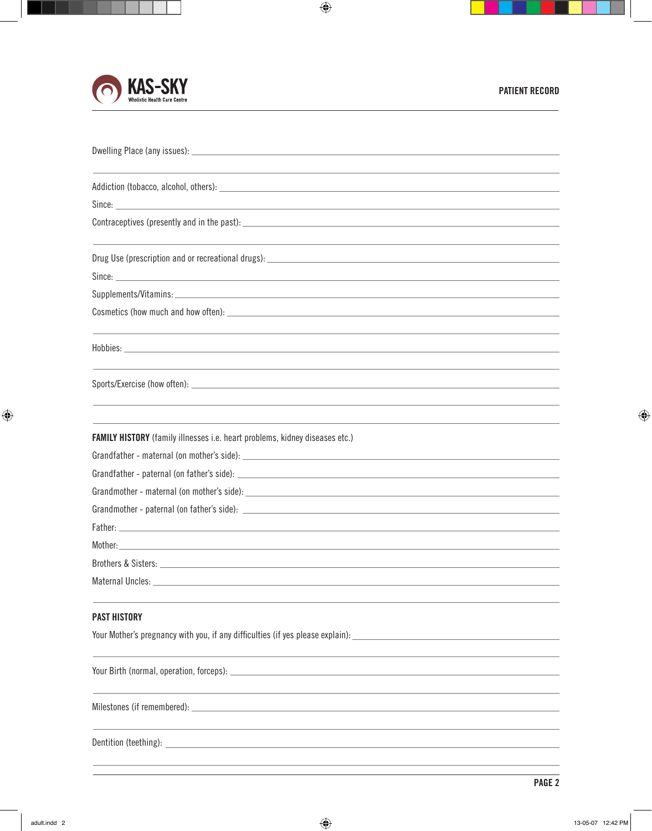

| <b>FAMILY HISTORY</b> (family illnesses i.e. heart problems, kidney diseases etc.)                  |
|-----------------------------------------------------------------------------------------------------|
|                                                                                                     |
|                                                                                                     |
|                                                                                                     |
|                                                                                                     |
|                                                                                                     |
| Mother:                                                                                             |
|                                                                                                     |
| Maternal Uncles:                                                                                    |
| <b>PAST HISTORY</b>                                                                                 |
| Your Mother's pregnancy with you, if any difficulties (if yes please explain): _                    |
|                                                                                                     |
|                                                                                                     |
|                                                                                                     |
| Milestones (if remembered):<br><u> 1980 - Johann Barbara, martxa alemaniar argametra (h. 1980).</u> |
|                                                                                                     |
| Dentition (teething):                                                                               |
|                                                                                                     |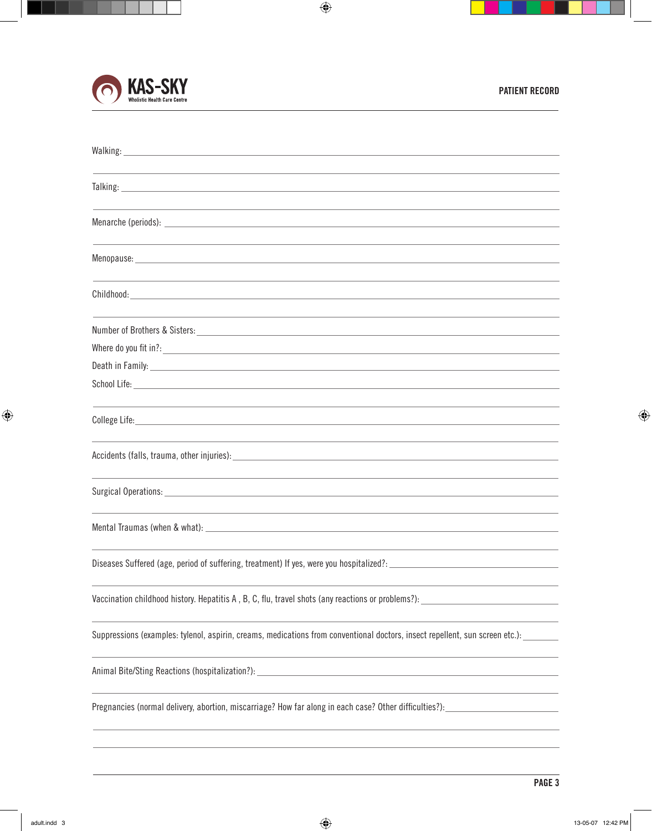

| Walking: University of the University of the University of the University of the University of the University of the University of the University of the University of the University of the University of the University of t       |
|--------------------------------------------------------------------------------------------------------------------------------------------------------------------------------------------------------------------------------------|
| Talking: Talking: Talking: Talking: Talking: Talking: Talking: Talking: Talking: Talking: Talking: Talking: Talking: Talking: Talking: Talking: Talking: Talking: Talking: Talking: Talking: Talking: Talking: Talking: Talkin       |
|                                                                                                                                                                                                                                      |
|                                                                                                                                                                                                                                      |
|                                                                                                                                                                                                                                      |
|                                                                                                                                                                                                                                      |
|                                                                                                                                                                                                                                      |
| Childhood: University of the Childhood: University of the Childhood: University of the Childhood: University of the Childhood: University of the Childhood: University of the Childhood: University of the Childhood: Universi       |
|                                                                                                                                                                                                                                      |
|                                                                                                                                                                                                                                      |
| Death in Family: <u>example and the second contract of the second contract of the second contract of the second contract of the second contract of the second contract of the second contract of the second contract of the seco</u> |
|                                                                                                                                                                                                                                      |
|                                                                                                                                                                                                                                      |
|                                                                                                                                                                                                                                      |
|                                                                                                                                                                                                                                      |
|                                                                                                                                                                                                                                      |
| Surgical Operations: Note that the service of the service of the service of the service of the service of the service of the service of the service of the service of the service of the service of the service of the service       |
|                                                                                                                                                                                                                                      |
| Diseases Suffered (age, period of suffering, treatment) If yes, were you hospitalized?: _                                                                                                                                            |
| Vaccination childhood history. Hepatitis A, B, C, flu, travel shots (any reactions or problems?):                                                                                                                                    |
| Suppressions (examples: tylenol, aspirin, creams, medications from conventional doctors, insect repellent, sun screen etc.):                                                                                                         |
|                                                                                                                                                                                                                                      |
| Pregnancies (normal delivery, abortion, miscarriage? How far along in each case? Other difficulties?):                                                                                                                               |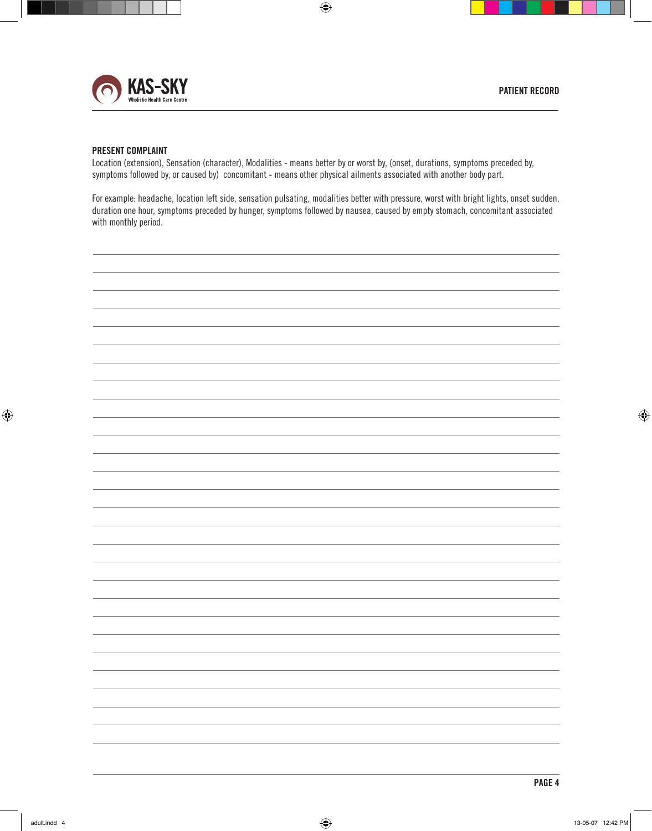

## **PRESENT COMPLAINT**

Location (extension), Sensation (character), Modalities - means better by or worst by, (onset, durations, symptoms preceded by, symptoms followed by, or caused by) concomitant - means other physical ailments associated with another body part.

For example: headache, location left side, sensation pulsating, modalities better with pressure, worst with bright lights, onset sudden, duration one hour, symptoms preceded by hunger, symptoms followed by nausea, caused by empty stomach, concomitant associated with monthly period.

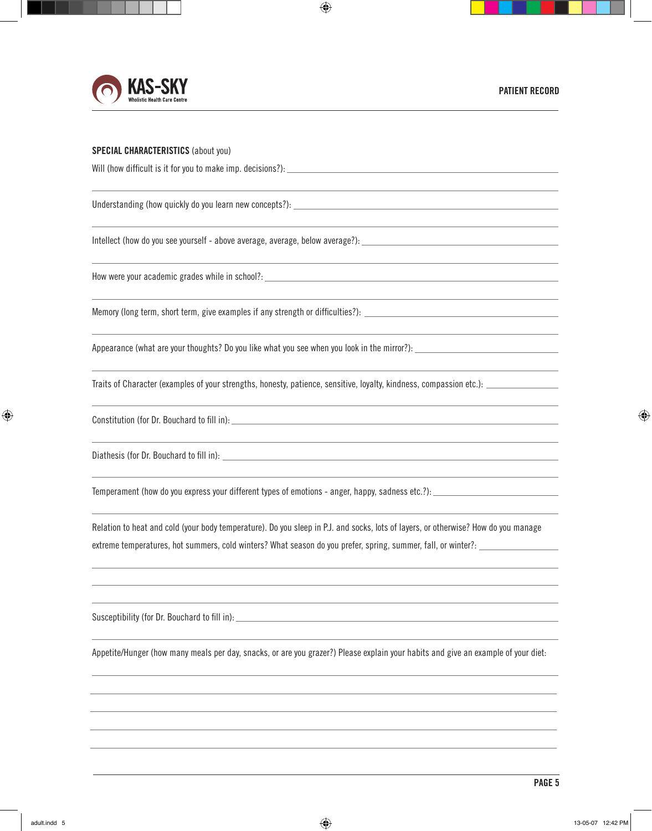

## **SPECIAL CHARACTERISTICS** (about you)

Will (how difficult is it for you to make imp. decisions?):

Understanding (how quickly do you learn new concepts?):

Intellect (how do you see yourself - above average, average, below average?):

How were your academic grades while in school?: \_\_\_\_\_\_\_\_\_\_\_\_\_\_\_\_\_\_\_\_\_\_\_\_\_\_\_\_\_\_\_\_

Memory (long term, short term, give examples if any strength or difficulties?):

Appearance (what are your thoughts? Do you like what you see when you look in the mirror?):

Traits of Character (examples of your strengths, honesty, patience, sensitive, loyalty, kindness, compassion etc.):

Constitution (for Dr. Bouchard to fill in):

Diathesis (for Dr. Bouchard to fill in):

Temperament (how do you express your different types of emotions - anger, happy, sadness etc.?):

Relation to heat and cold (your body temperature). Do you sleep in P.J. and socks, lots of layers, or otherwise? How do you manage extreme temperatures, hot summers, cold winters? What season do you prefer, spring, summer, fall, or winter?:

Susceptibility (for Dr. Bouchard to fill in):

Appetite/Hunger (how many meals per day, snacks, or are you grazer?) Please explain your habits and give an example of your diet: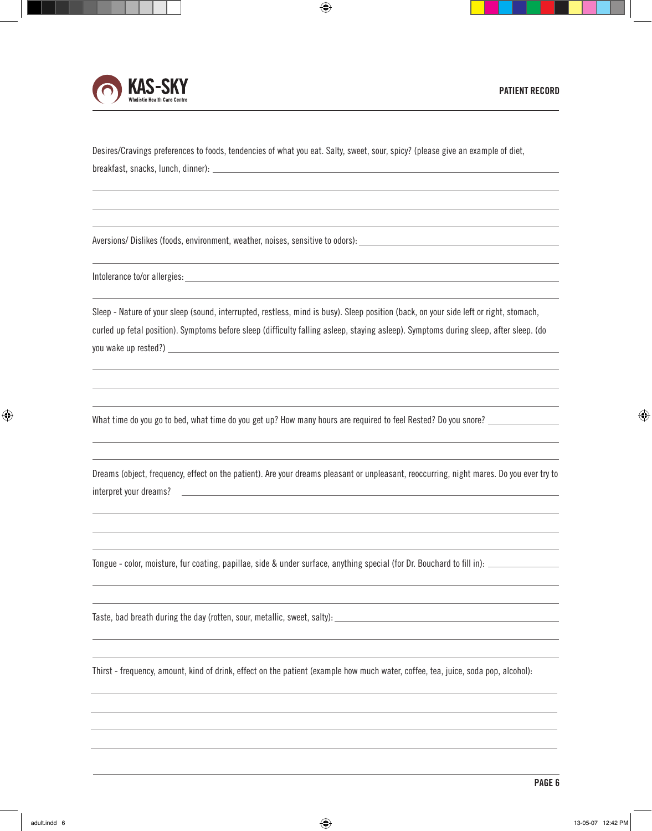



Desires/Cravings preferences to foods, tendencies of what you eat. Salty, sweet, sour, spicy? (please give an example of diet, breakfast, snacks, lunch, dinner):

Aversions/ Dislikes (foods, environment, weather, noises, sensitive to odors):

Intolerance to/or allergies: example of the state of the state of the state of the state of the state of the state of the state of the state of the state of the state of the state of the state of the state of the state of

Sleep - Nature of your sleep (sound, interrupted, restless, mind is busy). Sleep position (back, on your side left or right, stomach, curled up fetal position). Symptoms before sleep (difficulty falling asleep, staying asleep). Symptoms during sleep, after sleep. (do you wake up rested?)

What time do you go to bed, what time do you get up? How many hours are required to feel Rested? Do you snore?

Dreams (object, frequency, effect on the patient). Are your dreams pleasant or unpleasant, reoccurring, night mares. Do you ever try to interpret your dreams?

Tongue - color, moisture, fur coating, papillae, side & under surface, anything special (for Dr. Bouchard to fill in):

Taste, bad breath during the day (rotten, sour, metallic, sweet, salty):

Thirst - frequency, amount, kind of drink, effect on the patient (example how much water, coffee, tea, juice, soda pop, alcohol):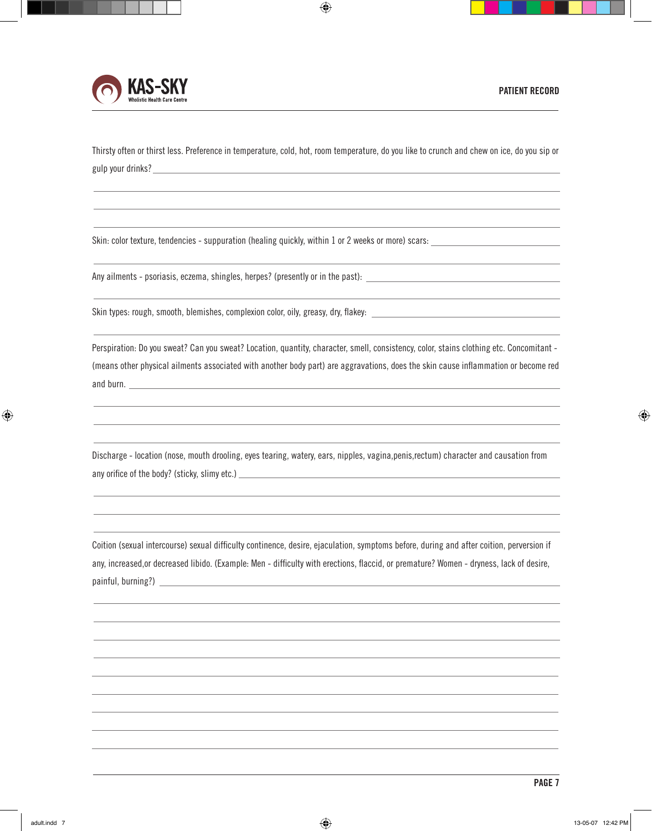



Thirsty often or thirst less. Preference in temperature, cold, hot, room temperature, do you like to crunch and chew on ice, do you sip or gulp your drinks?

Skin: color texture, tendencies - suppuration (healing quickly, within 1 or 2 weeks or more) scars:

Any ailments - psoriasis, eczema, shingles, herpes? (presently or in the past):

Skin types: rough, smooth, blemishes, complexion color, oily, greasy, dry, flakey:

Perspiration: Do you sweat? Can you sweat? Location, quantity, character, smell, consistency, color, stains clothing etc. Concomitant - (means other physical ailments associated with another body part) are aggravations, does the skin cause inflammation or become red and burn.

Discharge - location (nose, mouth drooling, eyes tearing, watery, ears, nipples, vagina,penis,rectum) character and causation from any orifice of the body? (sticky, slimy etc.)

Coition (sexual intercourse) sexual difficulty continence, desire, ejaculation, symptoms before, during and after coition, perversion if any, increased,or decreased libido. (Example: Men - difficulty with erections, flaccid, or premature? Women - dryness, lack of desire, painful, burning?)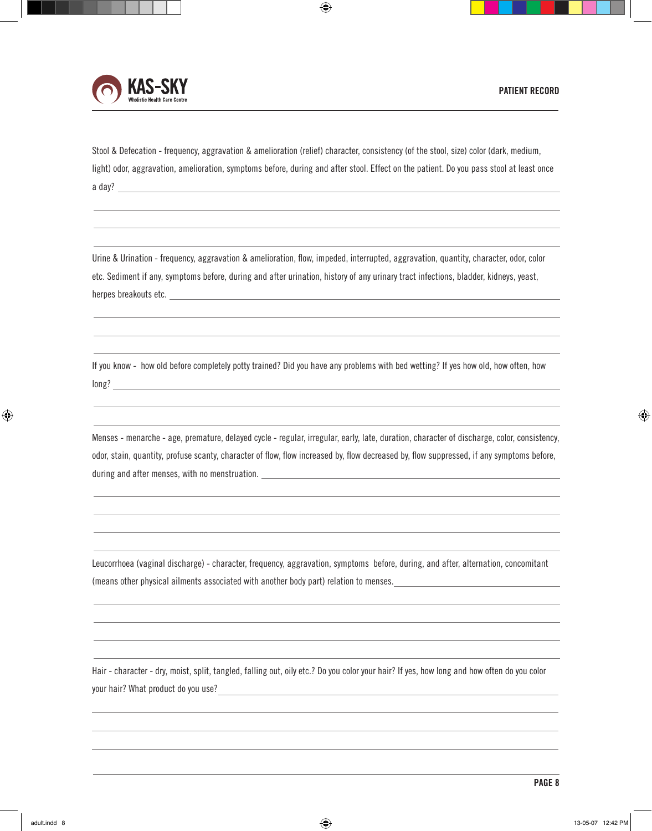

Stool & Defecation - frequency, aggravation & amelioration (relief) character, consistency (of the stool, size) color (dark, medium, light) odor, aggravation, amelioration, symptoms before, during and after stool. Effect on the patient. Do you pass stool at least once a day?

Urine & Urination - frequency, aggravation & amelioration, flow, impeded, interrupted, aggravation, quantity, character, odor, color etc. Sediment if any, symptoms before, during and after urination, history of any urinary tract infections, bladder, kidneys, yeast, herpes breakouts etc.

If you know - how old before completely potty trained? Did you have any problems with bed wetting? If yes how old, how often, how long? **Example 2008 Contract Contract Contract Contract Contract Contract Contract Contract Contract Contract Contract Contract Contract Contract Contract Contract Contract Contract Contract Contract Contract Contract Co** 

Menses - menarche - age, premature, delayed cycle - regular, irregular, early, late, duration, character of discharge, color, consistency, odor, stain, quantity, profuse scanty, character of flow, flow increased by, flow decreased by, flow suppressed, if any symptoms before, during and after menses, with no menstruation.

Leucorrhoea (vaginal discharge) - character, frequency, aggravation, symptoms before, during, and after, alternation, concomitant (means other physical ailments associated with another body part) relation to menses.

Hair - character - dry, moist, split, tangled, falling out, oily etc.? Do you color your hair? If yes, how long and how often do you color your hair? What product do you use?